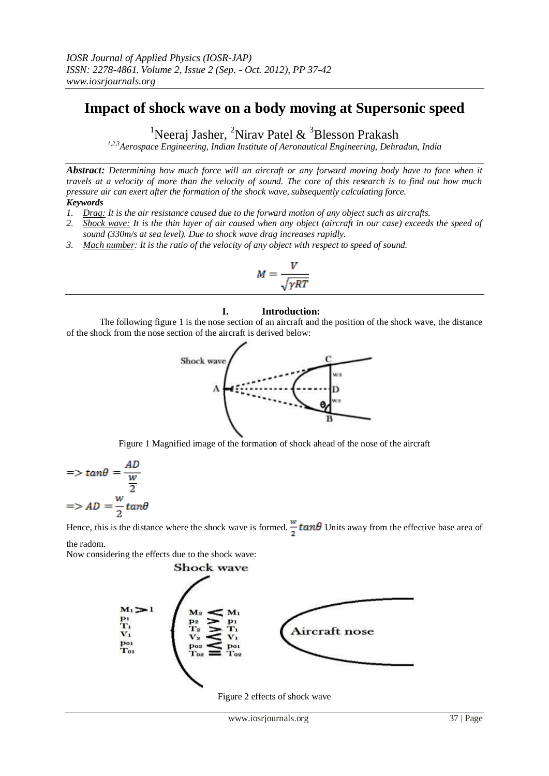## **Impact of shock wave on a body moving at Supersonic speed**

<sup>1</sup>Neeraj Jasher, <sup>2</sup>Nirav Patel & <sup>3</sup>Blesson Prakash

*1,2,3Aerospace Engineering, Indian Institute of Aeronautical Engineering, Dehradun, India*

*Abstract: Determining how much force will an aircraft or any forward moving body have to face when it travels at a velocity of more than the velocity of sound. The core of this research is to find out how much pressure air can exert after the formation of the shock wave, subsequently calculating force. Keywords* 

- *1. Drag: It is the air resistance caused due to the forward motion of any object such as aircrafts.*
- *2. Shock wave: It is the thin layer of air caused when any object (aircraft in our case) exceeds the speed of sound (330m/s at sea level). Due to shock wave drag increases rapidly.*
- *3. Mach number: It is the ratio of the velocity of any object with respect to speed of sound.*

$$
M = \frac{V}{\sqrt{\gamma RT}}
$$

## **I. Introduction:**

The following figure 1 is the nose section of an aircraft and the position of the shock wave, the distance of the shock from the nose section of the aircraft is derived below:



Figure 1 Magnified image of the formation of shock ahead of the nose of the aircraft

$$
=>\tan\theta = \frac{AD}{\frac{w}{2}}
$$

$$
=>AD = \frac{w}{2}\tan\theta
$$

Hence, this is the distance where the shock wave is formed.  $\frac{w}{\sigma} \tan\theta$  Units away from the effective base area of the radom.

Now considering the effects due to the shock wave:



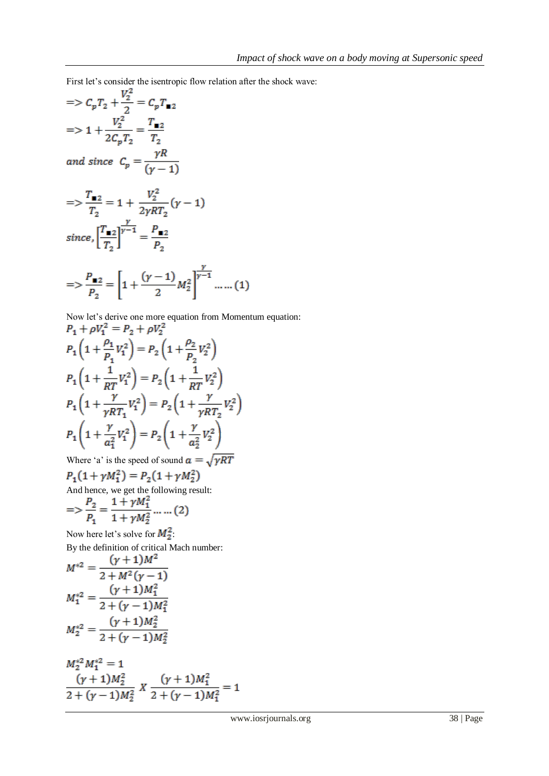First let's consider the isentropic flow relation after the shock wave:

$$
= C_p T_2 + \frac{V_2^2}{2} = C_p T_{12}
$$
  
\n
$$
= 1 + \frac{V_2^2}{2C_p T_2} = \frac{T_{12}}{T_2}
$$
  
\nand since  $C_p = \frac{\gamma R}{(\gamma - 1)}$   
\n
$$
= 1 + \frac{V_2^2}{2\gamma RT_2} (\gamma - 1)
$$
  
\n
$$
= 1 + \frac{V_2^2}{2\gamma RT_2} (\gamma - 1)
$$
  
\nsince,  $\left[\frac{T_{12}}{T_2}\right]^{\frac{\gamma}{\gamma - 1}} = \frac{P_{12}}{P_2}$   
\n
$$
= 1 + \frac{(\gamma - 1)}{P_2} M_2^2
$$
  
\n
$$
= 1 + \frac{(\gamma - 1)}{P_2} M_2^2
$$

Now let's derive one more equation from Momentum equation:<br> $P_+ + \rho V_+^2 = P_0 + \rho V_+^2$ 

$$
P_1 + \rho V_1^2 = P_2 + \rho V_2^2
$$
  
\n
$$
P_1 \left( 1 + \frac{\rho_1}{P_1} V_1^2 \right) = P_2 \left( 1 + \frac{\rho_2}{P_2} V_2^2 \right)
$$
  
\n
$$
P_1 \left( 1 + \frac{1}{RT} V_1^2 \right) = P_2 \left( 1 + \frac{1}{RT} V_2^2 \right)
$$
  
\n
$$
P_1 \left( 1 + \frac{\gamma}{\gamma RT_1} V_1^2 \right) = P_2 \left( 1 + \frac{\gamma}{\gamma RT_2} V_2^2 \right)
$$
  
\n
$$
P_1 \left( 1 + \frac{\gamma}{a_1^2} V_1^2 \right) = P_2 \left( 1 + \frac{\gamma}{a_2^2} V_2^2 \right)
$$

Where 'a' is the speed of sound  $a = \sqrt{\gamma RT}$ <br> $B(1 + \gamma M^2) = B(1 + \gamma M^2)$ 

$$
P_1(1 + \gamma M_1^2) = P_2(1 + \gamma M_2^2)
$$
  
And hence, we get the following result:

$$
=> \frac{P_2}{P_1} = \frac{1 + \gamma M_1^2}{1 + \gamma M_2^2} \dots \dots (2)
$$

Now here let's solve for  $M_2^2$ . By the definition of critical Mach number:

$$
M^{*2} = \frac{(\gamma + 1)M^2}{2 + M^2(\gamma - 1)}
$$
  
\n
$$
M_1^{*2} = \frac{(\gamma + 1)M_1^2}{2 + (\gamma - 1)M_1^2}
$$
  
\n
$$
M_2^{*2} = \frac{(\gamma + 1)M_2^2}{2 + (\gamma - 1)M_2^2}
$$

$$
M_2^{*2}M_1^{*2} = 1
$$
  
\n
$$
\frac{(\gamma + 1)M_2^2}{2 + (\gamma - 1)M_2^2} X \frac{(\gamma + 1)M_1^2}{2 + (\gamma - 1)M_1^2} = 1
$$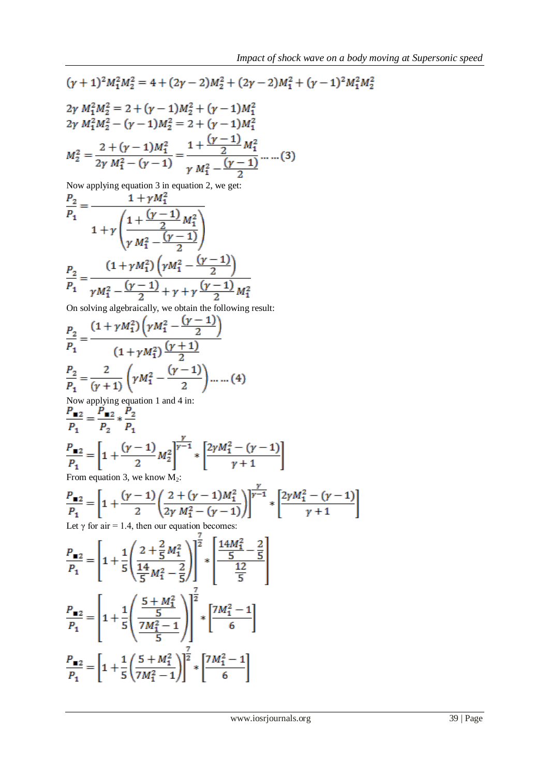$$
(y + 1)^2 M_1^2 M_2^2 = 4 + (2y - 2)M_2^2 + (2y - 2)M_1^2 + (y - 1)^2 M_1^2 M_2^2
$$
  
\n
$$
2y M_1^2 M_2^2 = 2 + (y - 1)M_2^2 + (y - 1)M_1^2
$$
  
\n
$$
2y M_1^2 M_2^2 - (y - 1)M_2^2 = 2 + (y - 1)M_1^2
$$
  
\n
$$
M_2^2 = \frac{2 + (y - 1)M_1^2}{2y M_1^2 - (y - 1)} = \frac{1 + \frac{(y - 1)}{2}M_1^2}{y M_1^2 - \frac{(y - 1)}{2}} \dots (3)
$$
  
\nNow applying equation 3 in equation 2, we get:  
\n
$$
\frac{P_2}{P_1} = \frac{1 + yM_1^2}{y M_1^2 - \frac{(y - 1)}{2}} = \frac{(1 + yM_1^2)(yM_1^2 - \frac{(y - 1)}{2})}{y M_1^2 - \frac{(y - 1)}{2}} = \frac{1 + yM_1^2}{y M_1^2 - \frac{(y - 1)}{2}} = \frac{1 + yM_1^2(1)}{y M_1^2 - \frac{(y - 1)}{2}} = \frac{1 + yM_1^2(1)}{y M_1^2 - \frac{(y - 1)}{2}} = \frac{1 + yM_1^2(1)}{y M_1^2 - \frac{(y - 1)}{2}} = \frac{1}{P_1} = \frac{(1 + yM_1^2)(yM_1^2 - \frac{(y - 1)}{2})}{(1 + yM_1^2)\frac{(y + 1)}{2}}
$$
  
\n
$$
\frac{P_2}{P_1} = \frac{2}{(y + 1)} \left( yM_1^2 - \frac{(y - 1)}{2} \right) \dots \dots (4)
$$
  
\nNow applying equation 1 and 4 in:  
\n
$$
\frac{P_1}{P_1} = \frac{P_1}{P_2} \times \frac{P_2}{P_1}
$$
  
\n
$$
\frac{P_1}{P_1} = \left[ 1 + \frac{(y - 1)}{2} M_2^2 \right] \frac{y}{y - 1} \times \left[ \
$$

$$
\frac{P_{\blacksquare 2}}{P_1} = \left[ 1 + \frac{1}{5} \left( \frac{2 + \frac{2}{5} M_1^2}{\frac{14}{5} M_1^2 - \frac{2}{5}} \right) \right]^{\frac{1}{2}} * \left[ \frac{\frac{14 M_1^2}{5} - \frac{2}{5}}{\frac{12}{5}} \right]
$$
\n
$$
\frac{P_{\blacksquare 2}}{P_1} = \left[ 1 + \frac{1}{5} \left( \frac{\frac{5 + M_1^2}{5}}{\frac{7 M_1^2 - 1}{5}} \right) \right]^{\frac{7}{2}} * \left[ \frac{7 M_1^2 - 1}{6} \right]
$$
\n
$$
\frac{P_{\blacksquare 2}}{P_1} = \left[ 1 + \frac{1}{5} \left( \frac{5 + M_1^2}{7 M_1^2 - 1} \right) \right]^{\frac{7}{2}} * \left[ \frac{7 M_1^2 - 1}{6} \right]
$$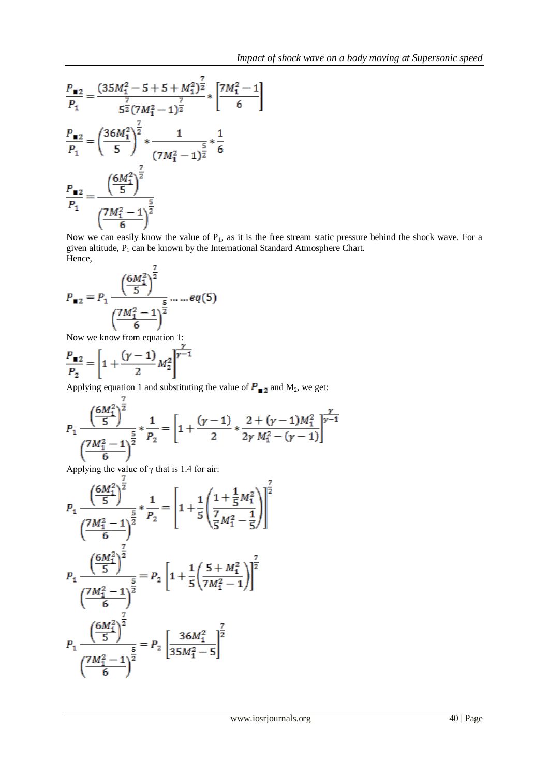$$
\frac{P_{\blacksquare 2}}{P_1} = \frac{(35M_1^2 - 5 + 5 + M_1^2)^{\frac{7}{2}}}{5^{\frac{7}{2}}(7M_1^2 - 1)^{\frac{7}{2}}} * \left[\frac{7M_1^2 - 1}{6}\right]
$$
\n
$$
\frac{P_{\blacksquare 2}}{P_1} = \left(\frac{36M_1^2}{5}\right)^{\frac{7}{2}} * \frac{1}{(7M_1^2 - 1)^{\frac{5}{2}}} * \frac{1}{6}
$$
\n
$$
\frac{P_{\blacksquare 2}}{P_1} = \frac{\left(\frac{6M_1^2}{5}\right)^{\frac{7}{2}}}{\left(\frac{7M_1^2 - 1}{6}\right)^{\frac{5}{2}}}
$$

Now we can easily know the value of P<sub>1</sub>, as it is the free stream static pressure behind the shock wave. For a given altitude,  $P_1$  can be known by the International Standard Atmosphere Chart. Hence.

Then, 
$$
P_{\blacksquare 2} = P_1 \frac{\left(\frac{6M_1^2}{5}\right)^{\frac{7}{2}}}{\left(\frac{7M_1^2 - 1}{6}\right)^{\frac{5}{2}} \cdots \cdots e_q(5)}
$$

Now we know from equation 1:

$$
\frac{P_{\blacksquare 2}}{P_2} = \left[1 + \frac{(\gamma - 1)}{2} M_2^2\right]^{\frac{1}{\gamma - 1}}
$$

Applying equation 1 and substituting the value of  $P_{\square 2}$  and M<sub>2</sub>, we get:

$$
P_1 \frac{\left(\frac{6M_1^2}{5}\right)^{\frac{5}{2}}}{\left(\frac{7M_1^2 - 1}{6}\right)^{\frac{5}{2}}} * \frac{1}{P_2} = \left[1 + \frac{(\gamma - 1)}{2} * \frac{2 + (\gamma - 1)M_1^2}{2\gamma M_1^2 - (\gamma - 1)}\right]^{\frac{\gamma}{\gamma - 1}}
$$

Applying the value of  $\gamma$  that is 1.4 for air:

$$
P_{1} \frac{\left(\frac{6M_{1}^{2}}{5}\right)^{\frac{7}{2}}}{\left(\frac{7M_{1}^{2}-1}{6}\right)^{\frac{5}{2}}} * \frac{1}{P_{2}} = \left[1 + \frac{1}{5}\left(\frac{1 + \frac{1}{5}M_{1}^{2}}{\frac{7}{5}M_{1}^{2} - \frac{1}{5}}\right)\right]^{\frac{7}{2}}
$$
\n
$$
P_{1} \frac{\left(\frac{6M_{1}^{2}}{5}\right)^{\frac{7}{2}}}{\left(\frac{7M_{1}^{2}-1}{6}\right)^{\frac{5}{2}}} = P_{2} \left[1 + \frac{1}{5}\left(\frac{5 + M_{1}^{2}}{7M_{1}^{2} - 1}\right)\right]^{\frac{7}{2}}
$$
\n
$$
P_{1} \frac{\left(\frac{6M_{1}^{2}}{5}\right)^{\frac{7}{2}}}{\left(\frac{7M_{1}^{2}-1}{6}\right)^{\frac{5}{2}}} = P_{2} \left[\frac{36M_{1}^{2}}{35M_{1}^{2} - 5}\right]^{\frac{7}{2}}
$$
\n
$$
\left(\frac{7M_{1}^{2}-1}{6}\right)^{\frac{5}{2}} = P_{2} \left[\frac{36M_{1}^{2}}{35M_{1}^{2} - 5}\right]^{\frac{7}{2}}
$$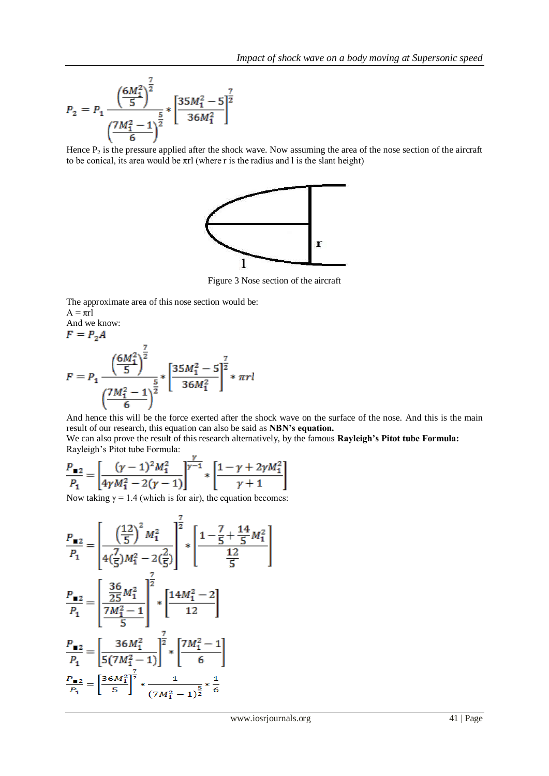$$
P_2 = P_1 \frac{\left(\frac{6M_1^2}{5}\right)^{\frac{7}{2}}}{\left(\frac{7M_1^2 - 1}{6}\right)^{\frac{5}{2}}} * \left[\frac{35M_1^2 - 5}{36M_1^2}\right]^{\frac{7}{2}}
$$

Hence  $P_2$  is the pressure applied after the shock wave. Now assuming the area of the nose section of the aircraft to be conical, its area would be  $\pi r$ l (where r is the radius and l is the slant height)



Figure 3 Nose section of the aircraft

The approximate area of this nose section would be:

 $A = \pi r l$ 

And we know:  
\n
$$
F = P_2 A
$$
\n
$$
F = P_1 \frac{\left(\frac{6M_1^2}{5}\right)^{\frac{7}{2}}}{\left(\frac{7M_1^2 - 1}{6}\right)^{\frac{5}{2}}} * \left[\frac{35M_1^2 - 5}{36M_1^2}\right]^{\frac{7}{2}} * \pi r l
$$

And hence this will be the force exerted after the shock wave on the surface of the nose. And this is the main result of our research, this equation can also be said as **NBN's equation.**

We can also prove the result of this research alternatively, by the famous **Rayleigh's Pitot tube Formula:** Rayleigh's Pitot tube Formula:

$$
\frac{P_{\blacksquare 2}}{P_1} = \left[ \frac{(\gamma - 1)^2 M_1^2}{4\gamma M_1^2 - 2(\gamma - 1)} \right]^{\frac{\gamma}{\gamma - 1}} * \left[ \frac{1 - \gamma + 2\gamma M_1^2}{\gamma + 1} \right]
$$

Now taking  $\gamma = 1.4$  (which is for air), the equation becomes:

$$
\frac{P_{\blacksquare 2}}{P_1} = \left[ \frac{\left(\frac{12}{5}\right)^2 M_1^2}{4\left(\frac{7}{5}\right)M_1^2 - 2\left(\frac{2}{5}\right)} \right]^{\frac{7}{2}} * \left[ \frac{1 - \frac{7}{5} + \frac{14}{5}M_1^2}{\frac{12}{5}} \right]
$$
\n
$$
\frac{P_{\blacksquare 2}}{P_1} = \left[ \frac{\frac{36}{25}M_1^2}{\frac{7M_1^2 - 1}{5}} \right]^{\frac{7}{2}} * \left[ \frac{14M_1^2 - 2}{12} \right]
$$
\n
$$
\frac{P_{\blacksquare 2}}{P_1} = \left[ \frac{36M_1^2}{5\left(7M_1^2 - 1\right)} \right]^{\frac{7}{2}} * \left[ \frac{7M_1^2 - 1}{6} \right]
$$
\n
$$
\frac{P_{\blacksquare 2}}{P_1} = \left[ \frac{36M_1^2}{5} \right]^{\frac{7}{2}} * \frac{1}{(7M_1^2 - 1)^{\frac{5}{2}}} * \frac{1}{6}
$$